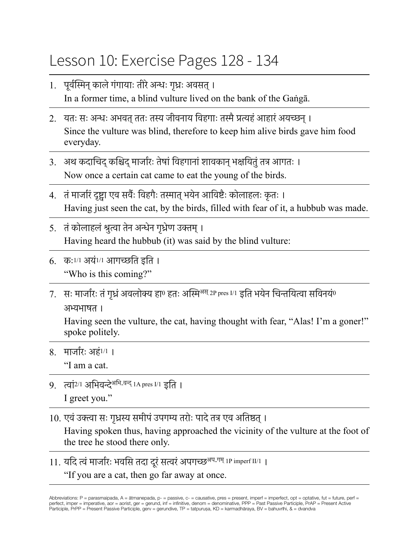## Lesson 10: Exercise Pages 128 - 134

- 1. पूर्वस्मिन् काले गंगायाः तीरे अन्धः गृध्रः अवसत् । In a former time, a blind vulture lived on the bank of the Gaṅgā.
- 2. यतः सः अन्धः अभवत् ततः तस्य जीवनाय विहगाः तस्मै प्रत्यहं आहारं अयच्छन् । Since the vulture was blind, therefore to keep him alive birds gave him food everyday.
- 3. अथ कदाचिद् कश्चिद् मार्जारः तेषां विहगानां शावकान् भक्षयितुं तत्र आगतः । Now once a certain cat came to eat the young of the birds.
- 4. तं मार्जारं दृष्ट्वा एव सर्वैः विहगैः तस्मात् भयेन आविष्टैः कोलाहलः कृतः । Having just seen the cat, by the birds, filled with fear of it, a hubbub was made.
- 5. तंकोलाहलंश्रुत्वा तेन अन्धेन गृध्रेण उक्तम्। Having heard the hubbub (it) was said by the blind vulture:
- 6. कः1/1 अयं1/1 आगच्छति इति । "Who is this coming?"
- $7.$  सः मार्जारः तं गध्रं अवलोक्य हा0 हतः अस्मि<sup>अस् 2P</sup> pres I/1 इति भयेन चिन्तयित्वा सविनयं0 अभ्यभाषत ।

Having seen the vulture, the cat, having thought with fear, "Alas! I'm a goner!" spoke politely.

- 8. मार्जारः अहं1/1 । "I am a cat.
- 9. त्वां<sup>2/1</sup> अभिवन्दे<sup>अभि-वन्द् 1A pres I/1 द्वति ।</sup> I greet you."
- 10. एवंउक्त्वा सः गृध्रस्य समीपंउपगम्य तरोः पादेतत्र एव अतिष्ठत्।

Having spoken thus, having approached the vicinity of the vulture at the foot of the tree he stood there only.

11. यदि त्वं मार्जारः भवसि तदा दुरं सत्वरं अपगच्छ<sup>अप-गम् 1P imperf II/1</sup> । "If you are a cat, then go far away at once.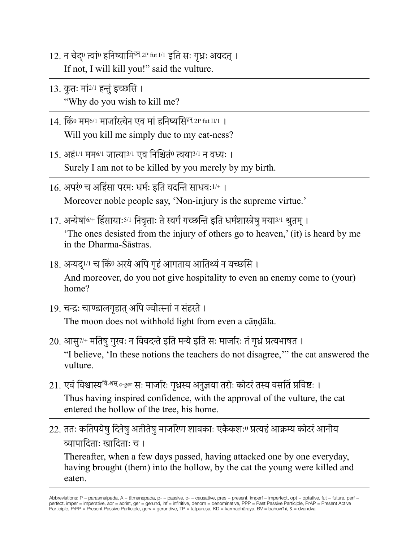- 12. न चेद् <sup>0</sup> त्वां<sup>0</sup> हनिष्यामिहन् 2P fut I/1 इति सः गृध्रः अवदत्। If not, I will kill you!" said the vulture.
- 13. कुतः मां<sup>2/1</sup> हन्तुं इच्छसि । "Why do you wish to kill me?
- 14. किं<sup>0</sup> मम6/1 मार्जारत्वेन एव मांहनिष्यसिहन् 2P fut II/1 । Will you kill me simply due to my cat-ness?
- 15. अहं1/1 मम6/1 जात्या3/1 एव निश्चितं<sup>0</sup> त्वया3/1 न वध्यः । Surely I am not to be killed by you merely by my birth.
- 16. अपरं<sup>0</sup> च अहिंसा परमः धर्मः इति वदन्ति साधवः1/+ । Moreover noble people say, 'Non-injury is the supreme virtue.'
- $17.$  अन्येषां<sup>6/+</sup> हिंसायाः<sup>5/1</sup> निवत्ताः ते स्वर्गं गच्छन्ति इति धर्मशास्त्रेषु मया<sup>3/1</sup> श्रुतम् । 'The ones desisted from the injury of others go to heaven,' (it) is heard by me in the Dharma-Śāstras.
- 18. अन्यद्‼ा च किº अरये अपि गृहं आगताय आतिथ्यं न यच्छसि । And moreover, do you not give hospitality to even an enemy come to (your) home?
- 19. चन्द्रः चाण्डालगृहात् अपि ज्योत्स्नां न संहरते । The moon does not withhold light from even a cāṇḍāla.
- 20. आसु7/+ मतिषुगुरवः न विवदन्तेइति मन्येइति सः मार्जारः तंगृध्रंप्रत्यभाषत । "I believe, 'In these notions the teachers do not disagree,'" the cat answered the vulture.
- 21. एवं विश्वास्य<sup>वि-श्वस् c-ger सः मार्जारः गृध्रस्य अनुज्ञया तरोः कोटरं तस्य वसतिं प्रविष्टः ।</sup> Thus having inspired confidence, with the approval of the vulture, the cat entered the hollow of the tree, his home.
- 22. ततः कतिपयेषु दिनेषु अतीतेषु माजरिण शावकाः एकैकशःº प्रत्यहं आक्रम्य कोटरं आनीय व्यापादिताः खादिताः च ।

Thereafter, when a few days passed, having attacked one by one everyday, having brought (them) into the hollow, by the cat the young were killed and eaten.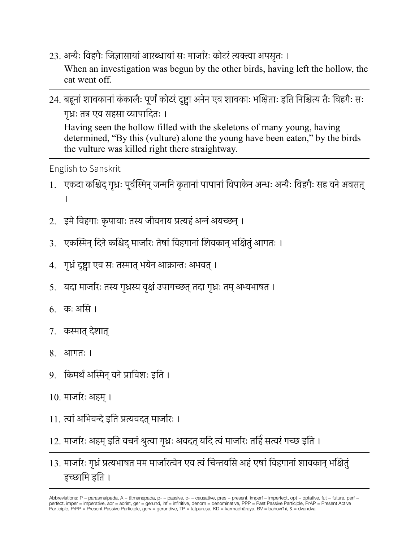- 23. अन्यैः विहगैः जिज्ञासायां आरब्धायां सः मार्जारः कोटरं त्यक्त्वा अपसृतः । When an investigation was begun by the other birds, having left the hollow, the cat went off.
- 24. बहूनां शावकानां कंकालैः पूर्णं कोटरं दृष्ट्वा अनेन एव शावकाः भक्षिताः इति निश्चित्य तैः विहगैः सः गृध्रः तत्र एव सहसा व्यापादितः । Having seen the hollow filled with the skeletons of many young, having determined, "By this (vulture) alone the young have been eaten," by the birds the vulture was killed right there straightway.

English to Sanskrit

- 1. एकदा कश्चिद् गुध्रः पूर्वस्मिन् जन्मनि कृतानां पापानां विपाकेन अन्धः अन्यैः विहगैः सह वने अवसत् ।
- 2. इमे विहगाः कृपायाः तस्य जीवनाय प्रत्यहं अन्नं अयच्छन् ।
- 3. एकस्मिन् दिने कश्चिद् मार्जारः तेषां विहगानां शिवकान् भक्षितुं आगतः ।
- 4. गृध्रंदृष्ट्वा एव सः तस्मात्भयेन आक्रान्तः अभवत्।
- 5. ) यदा मार्जारः तस्य गृध्रस्य वृक्षं उपागच्छत् तदा गृध्रः तम् अभ्यभाषत ।
- 6. कः असि ।
- 7. कस्मात्देशात्
- 8. आगतः ।
- 9. किमर्थंअस्मिन्वनेप्राविशः इति ।
- 10. मार्जारः अहम्।
- 11. त्वांअभिवन्देइति प्रत्यवदत्मार्जारः ।

12. मार्जारः अहम् इति वचनं श्रुत्वा गृध्रः अवदत् यदि त्वं मार्जारः तर्हि सत्वरं गच्छ इति ।

13. मार्जारः गृध्रं प्रत्यभाषत मम मार्जारत्वेन एव त्वं चिन्तयसि अहं एषां विहगानां शावकान् भक्षितुं इच्छामि इति ।

Abbreviations: P = parasmaipada, A = ātmanepada, p- = passive, c- = causative, pres = present, imperf = imperfect, opt = optative, fut = future, perf = perfect, imper = imperative, aor = aorist, ger = gerund, inf = infinitive, denom = denominative, PPP = Past Passive Participle, PrAP = Present Active Participle, PrPP = Present Passive Participle, gerv = gerundive, TP = tatpuruṣa, KD = karmadhāraya, BV = bahuvrīhi, & = dvandva